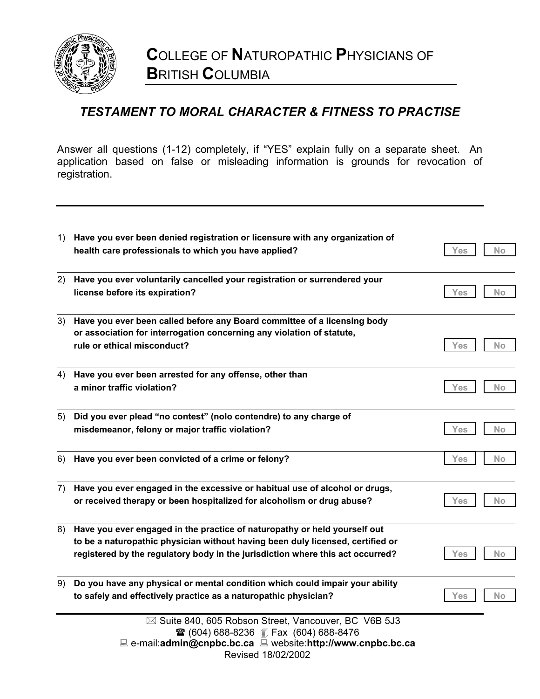

## *TESTAMENT TO MORAL CHARACTER & FITNESS TO PRACTISE*

Answer all questions (1-12) completely, if "YES" explain fully on a separate sheet. An application based on false or misleading information is grounds for revocation of registration.

| 1) | Have you ever been denied registration or licensure with any organization of<br>health care professionals to which you have applied?                                                                                                          | Yes<br>No        |
|----|-----------------------------------------------------------------------------------------------------------------------------------------------------------------------------------------------------------------------------------------------|------------------|
| 2) | Have you ever voluntarily cancelled your registration or surrendered your<br>license before its expiration?                                                                                                                                   | Yes<br>No        |
| 3) | Have you ever been called before any Board committee of a licensing body<br>or association for interrogation concerning any violation of statute,<br>rule or ethical misconduct?                                                              | Yes<br>No        |
| 4) | Have you ever been arrested for any offense, other than<br>a minor traffic violation?                                                                                                                                                         | Yes<br>No.       |
| 5) | Did you ever plead "no contest" (nolo contendre) to any charge of<br>misdemeanor, felony or major traffic violation?                                                                                                                          | <b>No</b><br>Yes |
| 6) | Have you ever been convicted of a crime or felony?                                                                                                                                                                                            | Yes<br>No        |
| 7) | Have you ever engaged in the excessive or habitual use of alcohol or drugs,<br>or received therapy or been hospitalized for alcoholism or drug abuse?                                                                                         | No<br>Yes        |
| 8) | Have you ever engaged in the practice of naturopathy or held yourself out<br>to be a naturopathic physician without having been duly licensed, certified or<br>registered by the regulatory body in the jurisdiction where this act occurred? | No<br>Yes        |
| 9) | Do you have any physical or mental condition which could impair your ability<br>to safely and effectively practice as a naturopathic physician?                                                                                               | No<br>Yes        |
|    | ⊠ Suite 840, 605 Robson Street, Vancouver, BC V6B 5J3<br><b>■ (604) 688-8236 ■ Fax (604) 688-8476</b><br>$\Box$ e-mail:admin@cnpbc.bc.ca $\Box$ website:http://www.cnpbc.bc.ca<br>Revised 18/02/2002                                          |                  |